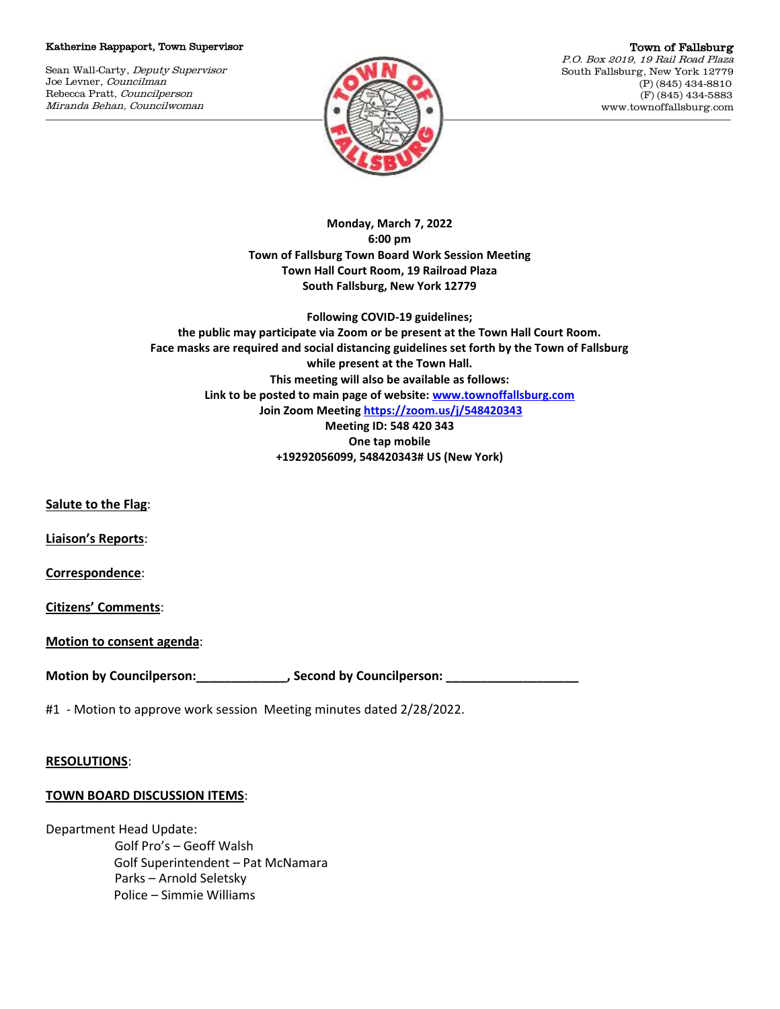## Katherine Rappaport, Town Supervisor

Sean Wall-Carty, Deputy Supervisor Joe Levner, Councilman Rebecca Pratt, Councilperson Miranda Behan, Councilwoman



Town of Fallsburg P.O. Box 2019, 19 Rail Road Plaza South Fallsburg, New York 12779 (P) (845) 434-8810 (F) (845) 434-5883 www.townoffallsburg.com

**Monday, March 7, 2022 6:00 pm Town of Fallsburg Town Board Work Session Meeting Town Hall Court Room, 19 Railroad Plaza South Fallsburg, New York 12779** 

**Following COVID-19 guidelines; the public may participate via Zoom or be present at the Town Hall Court Room. Face masks are required and social distancing guidelines set forth by the Town of Fallsburg while present at the Town Hall. This meeting will also be available as follows: Link to be posted to main page of website[: www.townoffallsburg.com](http://www.townoffallsburg.com/) Join Zoom Meetin[g https://zoom.us/j/548420343](https://zoom.us/j/548420343) Meeting ID: 548 420 343 One tap mobile +19292056099, 548420343# US (New York)**

**Salute to the Flag**:

**Liaison's Reports**:

**Correspondence**:

**Citizens' Comments**:

**Motion to consent agenda**:

Motion by Councilperson: \_\_\_\_\_\_\_\_\_\_\_\_\_\_\_\_, Second by Councilperson:

#1 - Motion to approve work session Meeting minutes dated 2/28/2022.

## **RESOLUTIONS**:

## **TOWN BOARD DISCUSSION ITEMS**:

Department Head Update: Golf Pro's – Geoff Walsh Golf Superintendent – Pat McNamara Parks – Arnold Seletsky Police – Simmie Williams